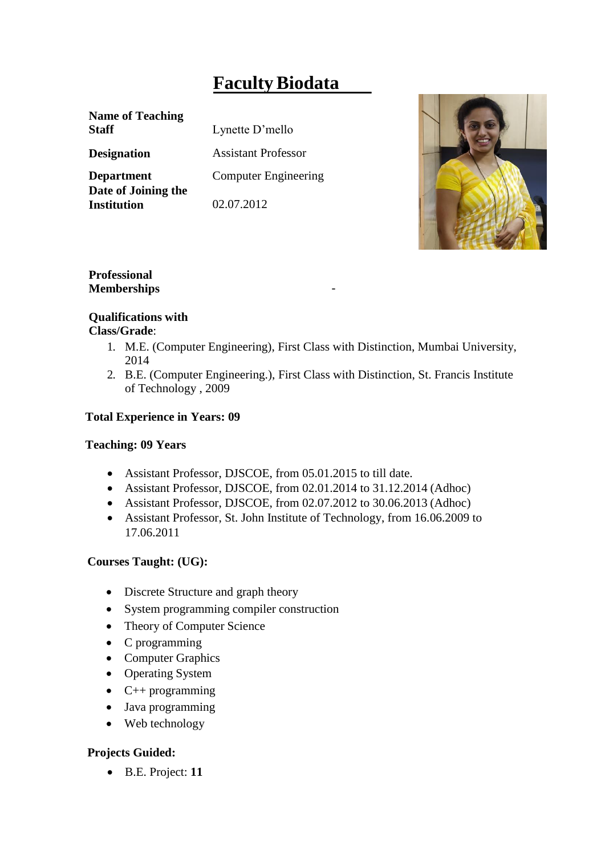# **FacultyBiodata**

**Name of Teaching Staff** Lynette D'mello

**Date of Joining the Institution** 02.07.2012

**Designation** Assistant Professor **Department** Computer Engineering



# **Professional Memberships** -

## **Qualifications with Class/Grade**:

- 1. M.E. (Computer Engineering), First Class with Distinction, Mumbai University, 2014
- 2. B.E. (Computer Engineering.), First Class with Distinction, St. Francis Institute of Technology , 2009

## **Total Experience in Years: 09**

## **Teaching: 09 Years**

- Assistant Professor, DJSCOE, from 05.01.2015 to till date.
- Assistant Professor, DJSCOE, from 02.01.2014 to 31.12.2014 (Adhoc)
- Assistant Professor, DJSCOE, from 02.07.2012 to 30.06.2013 (Adhoc)
- Assistant Professor, St. John Institute of Technology, from 16.06.2009 to 17.06.2011

# **Courses Taught: (UG):**

- Discrete Structure and graph theory
- System programming compiler construction
- Theory of Computer Science
- C programming
- Computer Graphics
- Operating System
- $\bullet$  C++ programming
- Java programming
- Web technology

# **Projects Guided:**

B.E. Project: **11**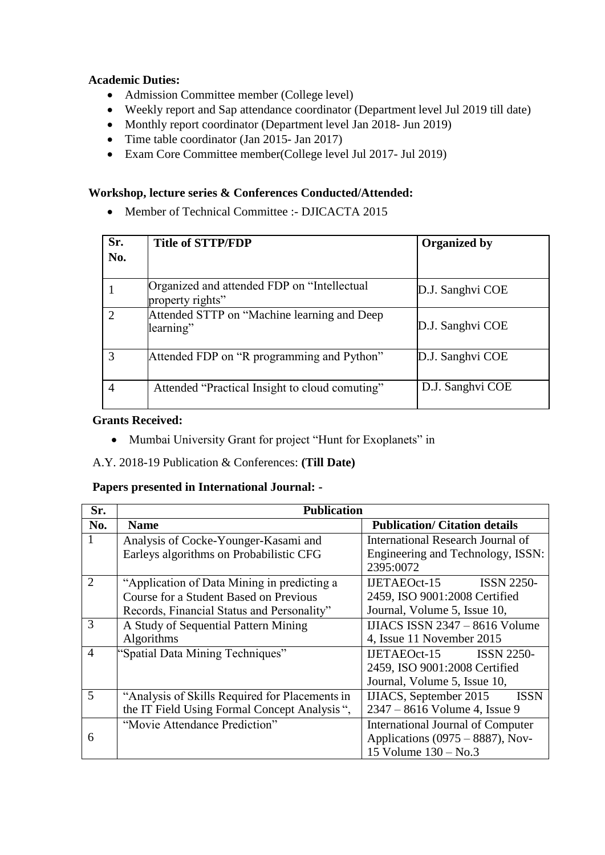#### **Academic Duties:**

- Admission Committee member (College level)
- Weekly report and Sap attendance coordinator (Department level Jul 2019 till date)
- Monthly report coordinator (Department level Jan 2018- Jun 2019)
- Time table coordinator (Jan 2015- Jan 2017)
- Exam Core Committee member(College level Jul 2017- Jul 2019)

## **Workshop, lecture series & Conferences Conducted/Attended:**

Member of Technical Committee :- DJICACTA 2015

| Sr.<br>No.                  | <b>Title of STTP/FDP</b>                                        | <b>Organized by</b> |
|-----------------------------|-----------------------------------------------------------------|---------------------|
|                             | Organized and attended FDP on "Intellectual<br>property rights" | D.J. Sanghvi COE    |
| $\mathcal{D}_{\mathcal{L}}$ | Attended STTP on "Machine learning and Deep<br>learning"        | D.J. Sanghvi COE    |
| 3                           | Attended FDP on "R programming and Python"                      | D.J. Sanghvi COE    |
| 4                           | Attended "Practical Insight to cloud comuting"                  | D.J. Sanghvi COE    |

#### **Grants Received:**

- Mumbai University Grant for project "Hunt for Exoplanets" in
- A.Y. 2018-19 Publication & Conferences: **(Till Date)**

## **Papers presented in International Journal: -**

| Sr.            | <b>Publication</b>                             |                                                |
|----------------|------------------------------------------------|------------------------------------------------|
| No.            | <b>Name</b>                                    | <b>Publication/Citation details</b>            |
|                | Analysis of Cocke-Younger-Kasami and           | International Research Journal of              |
|                | Earleys algorithms on Probabilistic CFG        | Engineering and Technology, ISSN:<br>2395:0072 |
| $\overline{2}$ | "Application of Data Mining in predicting a    | $IJETABOct-15$ $ISSN 2250-$                    |
|                | <b>Course for a Student Based on Previous</b>  | 2459, ISO 9001:2008 Certified                  |
|                | Records, Financial Status and Personality"     | Journal, Volume 5, Issue 10,                   |
| $\mathcal{R}$  | A Study of Sequential Pattern Mining           | IJIACS ISSN $2347 - 8616$ Volume               |
|                | Algorithms                                     | 4, Issue 11 November 2015                      |
| $\overline{4}$ | "Spatial Data Mining Techniques"               | IJETAEOct-15 ISSN 2250-                        |
|                |                                                | 2459, ISO 9001:2008 Certified                  |
|                |                                                | Journal, Volume 5, Issue 10,                   |
| 5              | "Analysis of Skills Required for Placements in | IJIACS, September 2015<br><b>ISSN</b>          |
|                | the IT Field Using Formal Concept Analysis",   | 2347 - 8616 Volume 4, Issue 9                  |
|                | "Movie Attendance Prediction"                  | International Journal of Computer              |
| 6              |                                                | Applications $(0975 - 8887)$ , Nov-            |
|                |                                                | 15 Volume 130 – No.3                           |